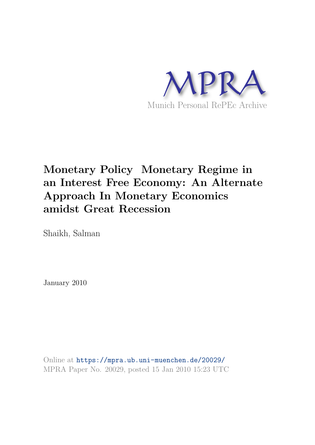

# **Monetary Policy Monetary Regime in an Interest Free Economy: An Alternate Approach In Monetary Economics amidst Great Recession**

Shaikh, Salman

January 2010

Online at https://mpra.ub.uni-muenchen.de/20029/ MPRA Paper No. 20029, posted 15 Jan 2010 15:23 UTC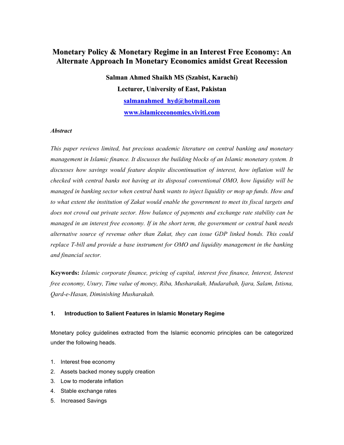# **Monetary Policy & Monetary Regime in an Interest Free Economy: An Alternate Approach In Monetary Economics amidst Great Recession**

**Salman Ahmed Shaikh MS (Szabist, Karachi) Lecturer, University of East, Pakistan salmanahmed\_hyd@hotmail.com www.islamiceconomics.viviti.com**

## *Abstract*

*This paper reviews limited, but precious academic literature on central banking and monetary management in Islamic finance. It discusses the building blocks of an Islamic monetary system. It discusses how savings would feature despite discontinuation of interest, how inflation will be checked with central banks not having at its disposal conventional OMO, how liquidity will be managed in banking sector when central bank wants to inject liquidity or mop up funds. How and to what extent the institution of Zakat would enable the government to meet its fiscal targets and does not crowd out private sector. How balance of payments and exchange rate stability can be managed in an interest free economy. If in the short term, the government or central bank needs alternative source of revenue other than Zakat, they can issue GDP linked bonds. This could replace T-bill and provide a base instrument for OMO and liquidity management in the banking and financial sector.* 

**Keywords:** *Islamic corporate finance, pricing of capital, interest free finance, Interest, Interest free economy, Usury, Time value of money, Riba, Musharakah, Mudarabah, Ijara, Salam, Istisna, Qard-e-Hasan, Diminishing Musharakah.*

#### **1. Introduction to Salient Features in Islamic Monetary Regime**

Monetary policy guidelines extracted from the Islamic economic principles can be categorized under the following heads.

- 1. Interest free economy
- 2. Assets backed money supply creation
- 3. Low to moderate inflation
- 4. Stable exchange rates
- 5. Increased Savings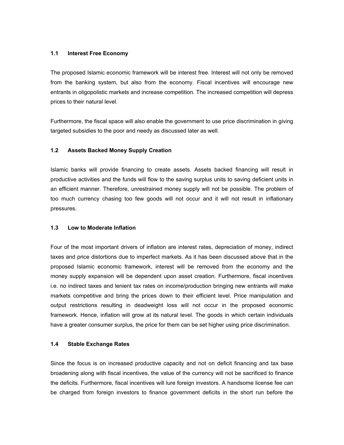#### **1.1 Interest Free Economy**

The proposed Islamic economic framework will be interest free. Interest will not only be removed from the banking system, but also from the economy. Fiscal incentives will encourage new entrants in oligopolistic markets and increase competition. The increased competition will depress prices to their natural level.

Furthermore, the fiscal space will also enable the government to use price discrimination in giving targeted subsidies to the poor and needy as discussed later as well.

## **1.2 Assets Backed Money Supply Creation**

Islamic banks will provide financing to create assets. Assets backed financing will result in productive activities and the funds will flow to the saving surplus units to saving deficient units in an efficient manner. Therefore, unrestrained money supply will not be possible. The problem of too much currency chasing too few goods will not occur and it will not result in inflationary pressures.

#### **1.3 Low to Moderate Inflation**

Four of the most important drivers of inflation are interest rates, depreciation of money, indirect taxes and price distortions due to imperfect markets. As it has been discussed above that in the proposed Islamic economic framework, interest will be removed from the economy and the money supply expansion will be dependent upon asset creation. Furthermore, fiscal incentives i.e. no indirect taxes and lenient tax rates on income/production bringing new entrants will make markets competitive and bring the prices down to their efficient level. Price manipulation and output restrictions resulting in deadweight loss will not occur in the proposed economic framework. Hence, inflation will grow at its natural level. The goods in which certain individuals have a greater consumer surplus, the price for them can be set higher using price discrimination.

#### **1.4 Stable Exchange Rates**

Since the focus is on increased productive capacity and not on deficit financing and tax base broadening along with fiscal incentives, the value of the currency will not be sacrificed to finance the deficits. Furthermore, fiscal incentives will lure foreign investors. A handsome license fee can be charged from foreign investors to finance government deficits in the short run before the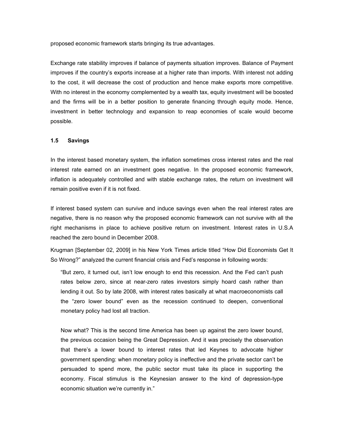proposed economic framework starts bringing its true advantages.

Exchange rate stability improves if balance of payments situation improves. Balance of Payment improves if the country's exports increase at a higher rate than imports. With interest not adding to the cost, it will decrease the cost of production and hence make exports more competitive. With no interest in the economy complemented by a wealth tax, equity investment will be boosted and the firms will be in a better position to generate financing through equity mode. Hence, investment in better technology and expansion to reap economies of scale would become possible.

#### **1.5 Savings**

In the interest based monetary system, the inflation sometimes cross interest rates and the real interest rate earned on an investment goes negative. In the proposed economic framework, inflation is adequately controlled and with stable exchange rates, the return on investment will remain positive even if it is not fixed.

If interest based system can survive and induce savings even when the real interest rates are negative, there is no reason why the proposed economic framework can not survive with all the right mechanisms in place to achieve positive return on investment. Interest rates in U.S.A reached the zero bound in December 2008.

Krugman [September 02, 2009] in his New York Times article titled "How Did Economists Get It So Wrong?" analyzed the current financial crisis and Fed's response in following words:

"But zero, it turned out, isn't low enough to end this recession. And the Fed can't push rates below zero, since at near-zero rates investors simply hoard cash rather than lending it out. So by late 2008, with interest rates basically at what macroeconomists call the "zero lower bound" even as the recession continued to deepen, conventional monetary policy had lost all traction.

Now what? This is the second time America has been up against the zero lower bound, the previous occasion being the Great Depression. And it was precisely the observation that there's a lower bound to interest rates that led Keynes to advocate higher government spending: when monetary policy is ineffective and the private sector can't be persuaded to spend more, the public sector must take its place in supporting the economy. Fiscal stimulus is the Keynesian answer to the kind of depression-type economic situation we're currently in."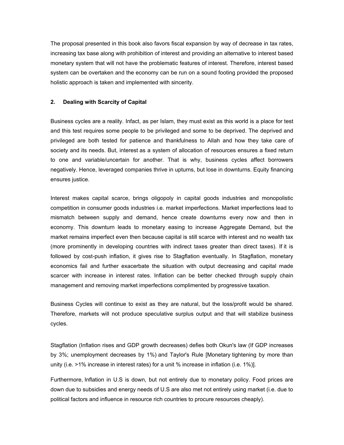The proposal presented in this book also favors fiscal expansion by way of decrease in tax rates, increasing tax base along with prohibition of interest and providing an alternative to interest based monetary system that will not have the problematic features of interest. Therefore, interest based system can be overtaken and the economy can be run on a sound footing provided the proposed holistic approach is taken and implemented with sincerity.

#### **2. Dealing with Scarcity of Capital**

Business cycles are a reality. Infact, as per Islam, they must exist as this world is a place for test and this test requires some people to be privileged and some to be deprived. The deprived and privileged are both tested for patience and thankfulness to Allah and how they take care of society and its needs. But, interest as a system of allocation of resources ensures a fixed return to one and variable/uncertain for another. That is why, business cycles affect borrowers negatively. Hence, leveraged companies thrive in upturns, but lose in downturns. Equity financing ensures justice.

Interest makes capital scarce, brings oligopoly in capital goods industries and monopolistic competition in consumer goods industries i.e. market imperfections. Market imperfections lead to mismatch between supply and demand, hence create downturns every now and then in economy. This downturn leads to monetary easing to increase Aggregate Demand, but the market remains imperfect even then because capital is still scarce with interest and no wealth tax (more prominently in developing countries with indirect taxes greater than direct taxes). If it is followed by cost-push inflation, it gives rise to Stagflation eventually. In Stagflation, monetary economics fail and further exacerbate the situation with output decreasing and capital made scarcer with increase in interest rates. Inflation can be better checked through supply chain management and removing market imperfections complimented by progressive taxation.

Business Cycles will continue to exist as they are natural, but the loss/profit would be shared. Therefore, markets will not produce speculative surplus output and that will stabilize business cycles.

Stagflation (Inflation rises and GDP growth decreases) defies both Okun's law (If GDP increases by 3%; unemployment decreases by 1%) and Taylor's Rule [Monetary tightening by more than unity (i.e. >1% increase in interest rates) for a unit % increase in inflation (i.e. 1%)].

Furthermore, Inflation in U.S is down, but not entirely due to monetary policy. Food prices are down due to subsidies and energy needs of U.S are also met not entirely using market (i.e. due to political factors and influence in resource rich countries to procure resources cheaply).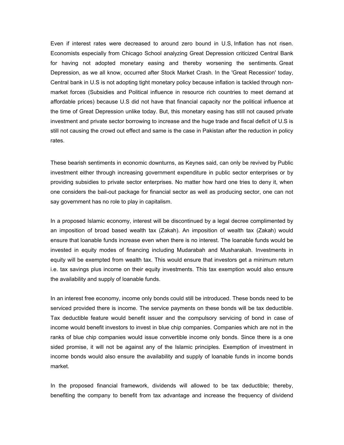Even if interest rates were decreased to around zero bound in U.S, Inflation has not risen. Economists especially from Chicago School analyzing Great Depression criticized Central Bank for having not adopted monetary easing and thereby worsening the sentiments. Great Depression, as we all know, occurred after Stock Market Crash. In the 'Great Recession' today, Central bank in U.S is not adopting tight monetary policy because inflation is tackled through nonmarket forces (Subsidies and Political influence in resource rich countries to meet demand at affordable prices) because U.S did not have that financial capacity nor the political influence at the time of Great Depression unlike today. But, this monetary easing has still not caused private investment and private sector borrowing to increase and the huge trade and fiscal deficit of U.S is still not causing the crowd out effect and same is the case in Pakistan after the reduction in policy rates.

These bearish sentiments in economic downturns, as Keynes said, can only be revived by Public investment either through increasing government expenditure in public sector enterprises or by providing subsidies to private sector enterprises. No matter how hard one tries to deny it, when one considers the bail-out package for financial sector as well as producing sector, one can not say government has no role to play in capitalism.

In a proposed Islamic economy, interest will be discontinued by a legal decree complimented by an imposition of broad based wealth tax (Zakah). An imposition of wealth tax (Zakah) would ensure that loanable funds increase even when there is no interest. The loanable funds would be invested in equity modes of financing including Mudarabah and Musharakah. Investments in equity will be exempted from wealth tax. This would ensure that investors get a minimum return i.e. tax savings plus income on their equity investments. This tax exemption would also ensure the availability and supply of loanable funds.

In an interest free economy, income only bonds could still be introduced. These bonds need to be serviced provided there is income. The service payments on these bonds will be tax deductible. Tax deductible feature would benefit issuer and the compulsory servicing of bond in case of income would benefit investors to invest in blue chip companies. Companies which are not in the ranks of blue chip companies would issue convertible income only bonds. Since there is a one sided promise, it will not be against any of the Islamic principles. Exemption of investment in income bonds would also ensure the availability and supply of loanable funds in income bonds market.

In the proposed financial framework, dividends will allowed to be tax deductible; thereby, benefiting the company to benefit from tax advantage and increase the frequency of dividend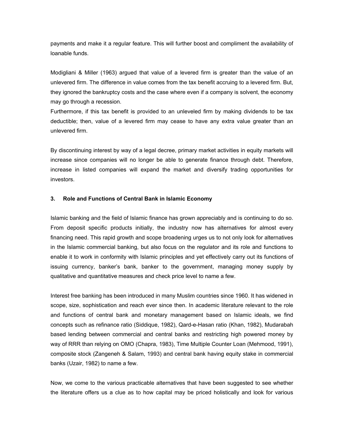payments and make it a regular feature. This will further boost and compliment the availability of loanable funds.

Modigliani & Miller (1963) argued that value of a levered firm is greater than the value of an unlevered firm. The difference in value comes from the tax benefit accruing to a levered firm. But, they ignored the bankruptcy costs and the case where even if a company is solvent, the economy may go through a recession.

Furthermore, if this tax benefit is provided to an unleveled firm by making dividends to be tax deductible; then, value of a levered firm may cease to have any extra value greater than an unlevered firm.

By discontinuing interest by way of a legal decree, primary market activities in equity markets will increase since companies will no longer be able to generate finance through debt. Therefore, increase in listed companies will expand the market and diversify trading opportunities for investors.

## **3. Role and Functions of Central Bank in Islamic Economy**

Islamic banking and the field of Islamic finance has grown appreciably and is continuing to do so. From deposit specific products initially, the industry now has alternatives for almost every financing need. This rapid growth and scope broadening urges us to not only look for alternatives in the Islamic commercial banking, but also focus on the regulator and its role and functions to enable it to work in conformity with Islamic principles and yet effectively carry out its functions of issuing currency, banker's bank, banker to the government, managing money supply by qualitative and quantitative measures and check price level to name a few.

Interest free banking has been introduced in many Muslim countries since 1960. It has widened in scope, size, sophistication and reach ever since then. In academic literature relevant to the role and functions of central bank and monetary management based on Islamic ideals, we find concepts such as refinance ratio (Siddique, 1982), Qard-e-Hasan ratio (Khan, 1982), Mudarabah based lending between commercial and central banks and restricting high powered money by way of RRR than relying on OMO (Chapra, 1983), Time Multiple Counter Loan (Mehmood, 1991), composite stock (Zangeneh & Salam, 1993) and central bank having equity stake in commercial banks (Uzair, 1982) to name a few.

Now, we come to the various practicable alternatives that have been suggested to see whether the literature offers us a clue as to how capital may be priced holistically and look for various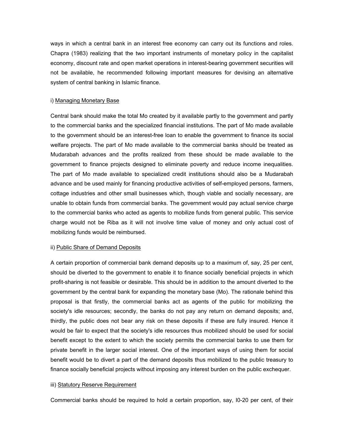ways in which a central bank in an interest free economy can carry out its functions and roles. Chapra (1983) realizing that the two important instruments of monetary policy in the capitalist economy, discount rate and open market operations in interest-bearing government securities will not be available, he recommended following important measures for devising an alternative system of central banking in Islamic finance.

#### i) Managing Monetary Base

Central bank should make the total Mo created by it available partly to the government and partly to the commercial banks and the specialized financial institutions. The part of Mo made available to the government should be an interest-free loan to enable the government to finance its social welfare projects. The part of Mo made available to the commercial banks should be treated as Mudarabah advances and the profits realized from these should be made available to the government to finance projects designed to eliminate poverty and reduce income inequalities. The part of Mo made available to specialized credit institutions should also be a Mudarabah advance and be used mainly for financing productive activities of self-employed persons, farmers, cottage industries and other small businesses which, though viable and socially necessary, are unable to obtain funds from commercial banks. The government would pay actual service charge to the commercial banks who acted as agents to mobilize funds from general public. This service charge would not be Riba as it will not involve time value of money and only actual cost of mobilizing funds would be reimbursed.

#### ii) Public Share of Demand Deposits

A certain proportion of commercial bank demand deposits up to a maximum of, say, 25 per cent, should be diverted to the government to enable it to finance socially beneficial projects in which profit-sharing is not feasible or desirable. This should be in addition to the amount diverted to the government by the central bank for expanding the monetary base (Mo). The rationale behind this proposal is that firstly, the commercial banks act as agents of the public for mobilizing the society's idle resources; secondly, the banks do not pay any return on demand deposits; and, thirdly, the public does not bear any risk on these deposits if these are fully insured. Hence it would be fair to expect that the society's idle resources thus mobilized should be used for social benefit except to the extent to which the society permits the commercial banks to use them for private benefit in the larger social interest. One of the important ways of using them for social benefit would be to divert a part of the demand deposits thus mobilized to the public treasury to finance socially beneficial projects without imposing any interest burden on the public exchequer.

#### iii) Statutory Reserve Requirement

Commercial banks should be required to hold a certain proportion, say, I0-20 per cent, of their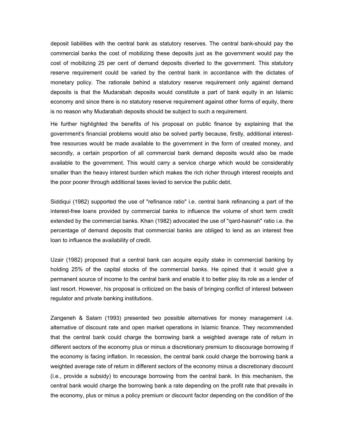deposit liabilities with the central bank as statutory reserves. The central bank-should pay the commercial banks the cost of mobilizing these deposits just as the government would pay the cost of mobilizing 25 per cent of demand deposits diverted to the government. This statutory reserve requirement could be varied by the central bank in accordance with the dictates of monetary policy. The rationale behind a statutory reserve requirement only against demand deposits is that the Mudarabah deposits would constitute a part of bank equity in an Islamic economy and since there is no statutory reserve requirement against other forms of equity, there is no reason why Mudarabah deposits should be subject to such a requirement.

He further highlighted the benefits of his proposal on public finance by explaining that the government's financial problems would also be solved partly because, firstly, additional interestfree resources would be made available to the government in the form of created money, and secondly, a certain proportion of all commercial bank demand deposits would also be made available to the government. This would carry a service charge which would be considerably smaller than the heavy interest burden which makes the rich richer through interest receipts and the poor poorer through additional taxes levied to service the public debt.

Siddiqui (1982) supported the use of "refinance ratio" i.e. central bank refinancing a part of the interest-free loans provided by commercial banks to influence the volume of short term credit extended by the commercial banks. Khan (1982) advocated the use of "qard-hasnah" ratio i.e. the percentage of demand deposits that commercial banks are obliged to lend as an interest free loan to influence the availability of credit.

Uzair (1982) proposed that a central bank can acquire equity stake in commercial banking by holding 25% of the capital stocks of the commercial banks. He opined that it would give a permanent source of income to the central bank and enable it to better play its role as a lender of last resort. However, his proposal is criticized on the basis of bringing conflict of interest between regulator and private banking institutions.

Zangeneh & Salam (1993) presented two possible alternatives for money management i.e. alternative of discount rate and open market operations in Islamic finance. They recommended that the central bank could charge the borrowing bank a weighted average rate of return in different sectors of the economy plus or minus a discretionary premium to discourage borrowing if the economy is facing inflation. In recession, the central bank could charge the borrowing bank a weighted average rate of return in different sectors of the economy minus a discretionary discount (i.e., provide a subsidy) to encourage borrowing from the central bank. In this mechanism, the central bank would charge the borrowing bank a rate depending on the profit rate that prevails in the economy, plus or minus a policy premium or discount factor depending on the condition of the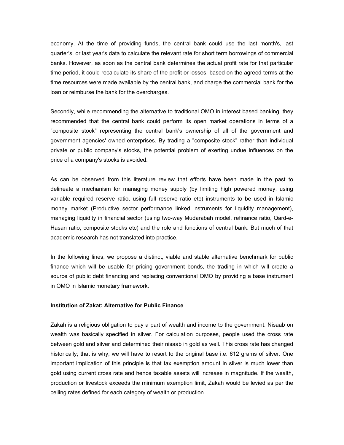economy. At the time of providing funds, the central bank could use the last month's, last quarter's, or last year's data to calculate the relevant rate for short term borrowings of commercial banks. However, as soon as the central bank determines the actual profit rate for that particular time period, it could recalculate its share of the profit or losses, based on the agreed terms at the time resources were made available by the central bank, and charge the commercial bank for the loan or reimburse the bank for the overcharges.

Secondly, while recommending the alternative to traditional OMO in interest based banking, they recommended that the central bank could perform its open market operations in terms of a "composite stock" representing the central bank's ownership of all of the government and government agencies' owned enterprises. By trading a "composite stock" rather than individual private or public company's stocks, the potential problem of exerting undue influences on the price of a company's stocks is avoided.

As can be observed from this literature review that efforts have been made in the past to delineate a mechanism for managing money supply (by limiting high powered money, using variable required reserve ratio, using full reserve ratio etc) instruments to be used in Islamic money market (Productive sector performance linked instruments for liquidity management), managing liquidity in financial sector (using two-way Mudarabah model, refinance ratio, Qard-e-Hasan ratio, composite stocks etc) and the role and functions of central bank. But much of that academic research has not translated into practice.

In the following lines, we propose a distinct, viable and stable alternative benchmark for public finance which will be usable for pricing government bonds, the trading in which will create a source of public debt financing and replacing conventional OMO by providing a base instrument in OMO in Islamic monetary framework.

#### **Institution of Zakat: Alternative for Public Finance**

Zakah is a religious obligation to pay a part of wealth and income to the government. Nisaab on wealth was basically specified in silver. For calculation purposes, people used the cross rate between gold and silver and determined their nisaab in gold as well. This cross rate has changed historically; that is why, we will have to resort to the original base i.e. 612 grams of silver. One important implication of this principle is that tax exemption amount in silver is much lower than gold using current cross rate and hence taxable assets will increase in magnitude. If the wealth, production or livestock exceeds the minimum exemption limit, Zakah would be levied as per the ceiling rates defined for each category of wealth or production.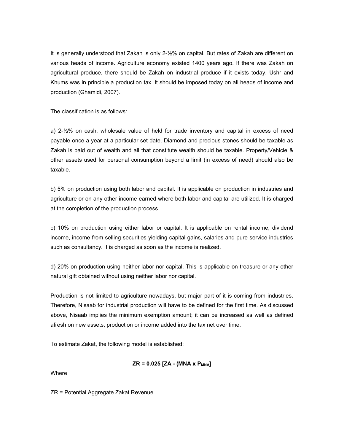It is generally understood that Zakah is only 2-½% on capital. But rates of Zakah are different on various heads of income. Agriculture economy existed 1400 years ago. If there was Zakah on agricultural produce, there should be Zakah on industrial produce if it exists today. Ushr and Khums was in principle a production tax. It should be imposed today on all heads of income and production (Ghamidi, 2007).

The classification is as follows:

a) 2-½% on cash, wholesale value of held for trade inventory and capital in excess of need payable once a year at a particular set date. Diamond and precious stones should be taxable as Zakah is paid out of wealth and all that constitute wealth should be taxable. Property/Vehicle & other assets used for personal consumption beyond a limit (in excess of need) should also be taxable.

b) 5% on production using both labor and capital. It is applicable on production in industries and agriculture or on any other income earned where both labor and capital are utilized. It is charged at the completion of the production process.

c) 10% on production using either labor or capital. It is applicable on rental income, dividend income, income from selling securities yielding capital gains, salaries and pure service industries such as consultancy. It is charged as soon as the income is realized.

d) 20% on production using neither labor nor capital. This is applicable on treasure or any other natural gift obtained without using neither labor nor capital.

Production is not limited to agriculture nowadays, but major part of it is coming from industries. Therefore, Nisaab for industrial production will have to be defined for the first time. As discussed above, Nisaab implies the minimum exemption amount; it can be increased as well as defined afresh on new assets, production or income added into the tax net over time.

To estimate Zakat, the following model is established:

$$
ZR = 0.025 [ZA - (MNA \times P_{MNA}]
$$

**Where** 

ZR = Potential Aggregate Zakat Revenue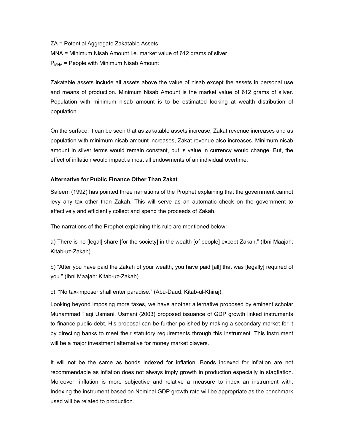ZA = Potential Aggregate Zakatable Assets MNA = Minimum Nisab Amount i.e. market value of 612 grams of silver  $P<sub>MNA</sub>$  = People with Minimum Nisab Amount

Zakatable assets include all assets above the value of nisab except the assets in personal use and means of production. Minimum Nisab Amount is the market value of 612 grams of silver. Population with minimum nisab amount is to be estimated looking at wealth distribution of population.

On the surface, it can be seen that as zakatable assets increase, Zakat revenue increases and as population with minimum nisab amount increases, Zakat revenue also increases. Minimum nisab amount in silver terms would remain constant, but is value in currency would change. But, the effect of inflation would impact almost all endowments of an individual overtime.

## **Alternative for Public Finance Other Than Zakat**

Saleem (1992) has pointed three narrations of the Prophet explaining that the government cannot levy any tax other than Zakah. This will serve as an automatic check on the government to effectively and efficiently collect and spend the proceeds of Zakah.

The narrations of the Prophet explaining this rule are mentioned below:

a) There is no [legal] share [for the society] in the wealth [of people] except Zakah." (Ibni Maajah: Kitab-uz-Zakah).

b) "After you have paid the Zakah of your wealth, you have paid [all] that was [legally] required of you." (Ibni Maajah: Kitab-uz-Zakah).

c) "No tax-imposer shall enter paradise." (Abu-Daud: Kitab-ul-Khiraj).

Looking beyond imposing more taxes, we have another alternative proposed by eminent scholar Muhammad Taqi Usmani. Usmani (2003) proposed issuance of GDP growth linked instruments to finance public debt. His proposal can be further polished by making a secondary market for it by directing banks to meet their statutory requirements through this instrument. This instrument will be a major investment alternative for money market players.

It will not be the same as bonds indexed for inflation. Bonds indexed for inflation are not recommendable as inflation does not always imply growth in production especially in stagflation. Moreover, inflation is more subjective and relative a measure to index an instrument with. Indexing the instrument based on Nominal GDP growth rate will be appropriate as the benchmark used will be related to production.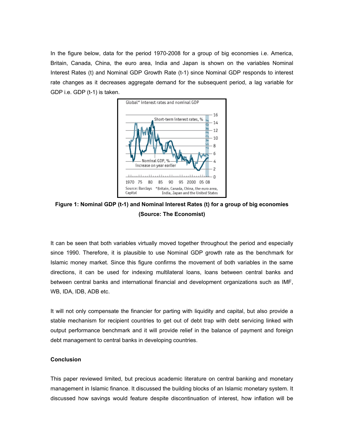In the figure below, data for the period 1970-2008 for a group of big economies i.e. America, Britain, Canada, China, the euro area, India and Japan is shown on the variables Nominal Interest Rates (t) and Nominal GDP Growth Rate (t-1) since Nominal GDP responds to interest rate changes as it decreases aggregate demand for the subsequent period, a lag variable for GDP i.e. GDP (t-1) is taken.



**Figure 1: Nominal GDP (t-1) and Nominal Interest Rates (t) for a group of big economies (Source: The Economist)** 

It can be seen that both variables virtually moved together throughout the period and especially since 1990. Therefore, it is plausible to use Nominal GDP growth rate as the benchmark for Islamic money market. Since this figure confirms the movement of both variables in the same directions, it can be used for indexing multilateral loans, loans between central banks and between central banks and international financial and development organizations such as IMF, WB, IDA, IDB, ADB etc.

It will not only compensate the financier for parting with liquidity and capital, but also provide a stable mechanism for recipient countries to get out of debt trap with debt servicing linked with output performance benchmark and it will provide relief in the balance of payment and foreign debt management to central banks in developing countries.

## **Conclusion**

This paper reviewed limited, but precious academic literature on central banking and monetary management in Islamic finance. It discussed the building blocks of an Islamic monetary system. It discussed how savings would feature despite discontinuation of interest, how inflation will be